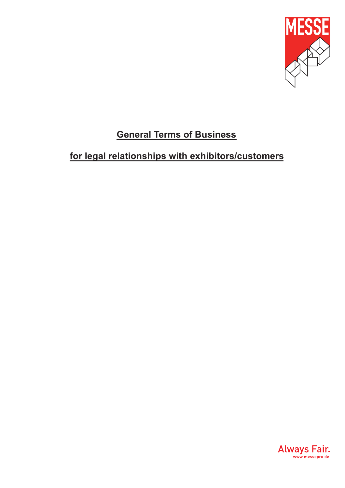

# **General Terms of Business**

# **for legal relationships with exhibitors/customers**

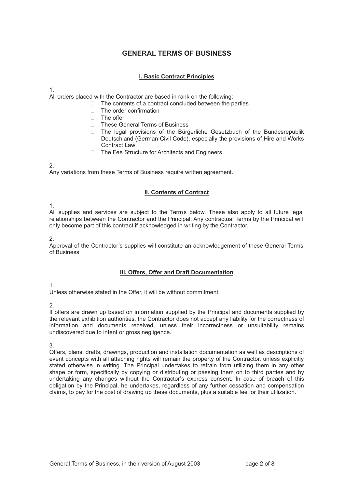# **GENERAL TERMS OF BUSINESS**

## **I. Basic Contract Principles**

#### 1.

All orders placed with the Contractor are based in rank on the following:

- $\Box$  The contents of a contract concluded between the parties
- □ The order confirmation
- □ The offer
- □ These General Terms of Business
- □ The legal provisions of the Bürgerliche Gesetzbuch of the Bundesrepublik Deutschland (German Civil Code), especially the provisions of Hire and Works Contract Law
- □ The Fee Structure for Architects and Engineers.

#### 2.

Any variations from these Terms of Business require written agreement.

## **II. Contents of Contract**

1.

All supplies and services are subject to the Terms below. These also apply to all future legal relationships between the Contractor and the Principal. Any contractual Terms by the Principal will only become part of this contract if acknowledged in writing by the Contractor.

 $\mathcal{L}$ 

Approval of the Contractor's supplies will constitute an acknowledgement of these General Terms of Business.

#### **III. Offers, Offer and Draft Documentation**

# 1.

Unless otherwise stated in the Offer, it will be without commitment.

# 2.

If offers are drawn up based on information supplied by the Principal and documents supplied by the relevant exhibition authorities, the Contractor does not accept any liability for the correctness of information and documents received, unless their incorrectness or unsuitability remains undiscovered due to intent or gross negligence.

3.

Offers, plans, drafts, drawings, production and installation documentation as well as descriptions of event concepts with all attaching rights will remain the property of the Contractor, unless explicitly stated otherwise in writing. The Principal undertakes to refrain from utilizing them in any other shape or form, specifically by copying or distributing or passing them on to third parties and by undertaking any changes without the Contractor's express consent. In case of breach of this obligation by the Principal, he undertakes, regardless of any further cessation and compensation claims, to pay for the cost of drawing up these documents, plus a suitable fee for their utilization.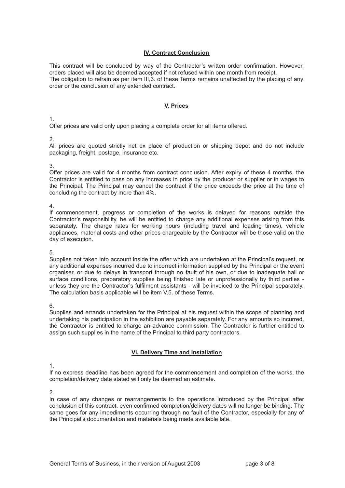### **IV. Contract Conclusion**

This contract will be concluded by way of the Contractor's written order confirmation. However, orders placed will also be deemed accepted if not refused within one month from receipt. The obligation to refrain as per item III,3. of these Terms remains unaffected by the placing of any order or the conclusion of any extended contract.

#### **V. Prices**

1.

Offer prices are valid only upon placing a complete order for all items offered.

2.

All prices are quoted strictly net ex place of production or shipping depot and do not include packaging, freight, postage, insurance etc.

#### 3.

Offer prices are valid for 4 months from contract conclusion. After expiry of these 4 months, the Contractor is entitled to pass on any increases in price by the producer or supplier or in wages to the Principal. The Principal may cancel the contract if the price exceeds the price at the time of concluding the contract by more than 4%.

4.

If commencement, progress or completion of the works is delayed for reasons outside the Contractor's responsibility, he will be entitled to charge any additional expenses arising from this separately. The charge rates for working hours (including travel and loading times), vehicle appliances, material costs and other prices chargeable by the Contractor will be those valid on the day of execution.

5.

Supplies not taken into account inside the offer which are undertaken at the Principal's request, or any additional expenses incurred due to incorrect information supplied by the Principal or the event organiser, or due to delays in transport through no fault of his own, or due to inadequate hall or surface conditions, preparatory supplies being finished late or unprofessionally by third parties unless they are the Contractor's fulfilment assistants - will be invoiced to the Principal separately. The calculation basis applicable will be item V.5. of these Terms.

6.

Supplies and errands undertaken for the Principal at his request within the scope of planning and undertaking his participation in the exhibition are payable separately. For any amounts so incurred, the Contractor is entitled to charge an advance commission. The Contractor is further entitled to assign such supplies in the name of the Principal to third party contractors.

#### **VI. Delivery Time and Installation**

1.

If no express deadline has been agreed for the commencement and completion of the works, the completion/delivery date stated will only be deemed an estimate.

2.

In case of any changes or rearrangements to the operations introduced by the Principal after conclusion of this contract, even confirmed completion/delivery dates will no longer be binding. The same goes for any impediments occurring through no fault of the Contractor, especially for any of the Principal's documentation and materials being made available late.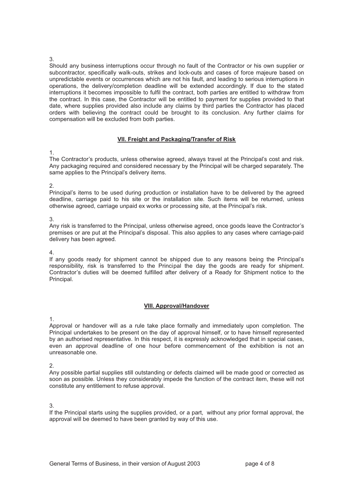#### 3.

Should any business interruptions occur through no fault of the Contractor or his own supplier or subcontractor, specifically walk-outs, strikes and lock-outs and cases of force majeure based on unpredictable events or occurrences which are not his fault, and leading to serious interruptions in operations, the delivery/completion deadline will be extended accordingly. If due to the stated interruptions it becomes impossible to fulfil the contract, both parties are entitled to withdraw from the contract. In this case, the Contractor will be entitled to payment for supplies provided to that date, where supplies provided also include any claims by third parties the Contractor has placed orders with believing the contract could be brought to its conclusion. Any further claims for compensation will be excluded from both parties.

# **VII. Freight and Packaging/Transfer of Risk**

#### 1.

The Contractor's products, unless otherwise agreed, always travel at the Principal's cost and risk. Any packaging required and considered necessary by the Principal will be charged separately. The same applies to the Principal's delivery items.

#### 2.

Principal's items to be used during production or installation have to be delivered by the agreed deadline, carriage paid to his site or the installation site. Such items will be returned, unless otherwise agreed, carriage unpaid ex works or processing site, at the Principal's risk.

#### 3.

Any risk is transferred to the Principal, unless otherwise agreed, once goods leave the Contractor's premises or are put at the Principal's disposal. This also applies to any cases where carriage-paid delivery has been agreed.

#### 4.

If any goods ready for shipment cannot be shipped due to any reasons being the Principal's responsibility, risk is transferred to the Principal the day the goods are ready for shipment. Contractor's duties will be deemed fulfilled after delivery of a Ready for Shipment notice to the Principal.

#### **VIII. Approval/Handover**

1.

Approval or handover will as a rule take place formally and immediately upon completion. The Principal undertakes to be present on the day of approval himself, or to have himself represented by an authorised representative. In this respect, it is expressly acknowledged that in special cases, even an approval deadline of one hour before commencement of the exhibition is not an unreasonable one.

2.

Any possible partial supplies still outstanding or defects claimed will be made good or corrected as soon as possible. Unless they considerably impede the function of the contract item, these will not constitute any entitlement to refuse approval.

#### 3.

If the Principal starts using the supplies provided, or a part, without any prior formal approval, the approval will be deemed to have been granted by way of this use.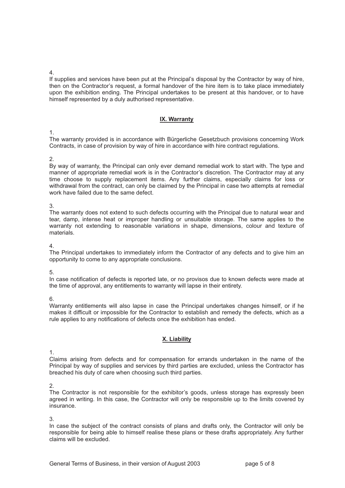4.

If supplies and services have been put at the Principal's disposal by the Contractor by way of hire, then on the Contractor's request, a formal handover of the hire item is to take place immediately upon the exhibition ending. The Principal undertakes to be present at this handover, or to have himself represented by a duly authorised representative.

## **IX. Warranty**

1.

The warranty provided is in accordance with Bürgerliche Gesetzbuch provisions concerning Work Contracts, in case of provision by way of hire in accordance with hire contract regulations.

#### 2.

By way of warranty, the Principal can only ever demand remedial work to start with. The type and manner of appropriate remedial work is in the Contractor's discretion. The Contractor may at any time choose to supply replacement items. Any further claims, especially claims for loss or withdrawal from the contract, can only be claimed by the Principal in case two attempts at remedial work have failed due to the same defect.

3.

The warranty does not extend to such defects occurring with the Principal due to natural wear and tear, damp, intense heat or improper handling or unsuitable storage. The same applies to the warranty not extending to reasonable variations in shape, dimensions, colour and texture of materials.

4.

The Principal undertakes to immediately inform the Contractor of any defects and to give him an opportunity to come to any appropriate conclusions.

5.

In case notification of defects is reported late, or no provisos due to known defects were made at the time of approval, any entitlements to warranty will lapse in their entirety.

6.

Warranty entitlements will also lapse in case the Principal undertakes changes himself, or if he makes it difficult or impossible for the Contractor to establish and remedy the defects, which as a rule applies to any notifications of defects once the exhibition has ended.

# **X. Liability**

1.

Claims arising from defects and for compensation for errands undertaken in the name of the Principal by way of supplies and services by third parties are excluded, unless the Contractor has breached his duty of care when choosing such third parties.

2.

The Contractor is not responsible for the exhibitor's goods, unless storage has expressly been agreed in writing. In this case, the Contractor will only be responsible up to the limits covered by insurance.

3.

In case the subject of the contract consists of plans and drafts only, the Contractor will only be responsible for being able to himself realise these plans or these drafts appropriately. Any further claims will be excluded.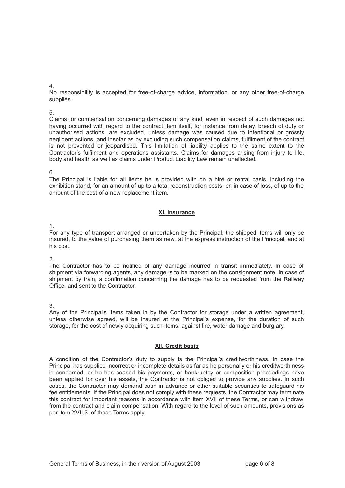4.

No responsibility is accepted for free-of-charge advice, information, or any other free-of-charge supplies.

#### 5.

Claims for compensation concerning damages of any kind, even in respect of such damages not having occurred with regard to the contract item itself, for instance from delay, breach of duty or unauthorised actions, are excluded, unless damage was caused due to intentional or grossly negligent actions, and insofar as by excluding such compensation claims, fulfilment of the contract is not prevented or jeopardised. This limitation of liability applies to the same extent to the Contractor's fulfilment and operations assistants. Claims for damages arising from injury to life, body and health as well as claims under Product Liability Law remain unaffected.

#### 6.

The Principal is liable for all items he is provided with on a hire or rental basis, including the exhibition stand, for an amount of up to a total reconstruction costs, or, in case of loss, of up to the amount of the cost of a new replacement item.

# **XI. Insurance**

1.

For any type of transport arranged or undertaken by the Principal, the shipped items will only be insured, to the value of purchasing them as new, at the express instruction of the Principal, and at his cost.

2.

The Contractor has to be notified of any damage incurred in transit immediately. In case of shipment via forwarding agents, any damage is to be marked on the consignment note, in case of shipment by train, a confirmation concerning the damage has to be requested from the Railway Office, and sent to the Contractor.

3.

Any of the Principal's items taken in by the Contractor for storage under a written agreement, unless otherwise agreed, will be insured at the Principal's expense, for the duration of such storage, for the cost of newly acquiring such items, against fire, water damage and burglary.

# **XII. Credit basis**

A condition of the Contractor's duty to supply is the Principal's creditworthiness. In case the Principal has supplied incorrect or incomplete details as far as he personally or his creditworthiness is concerned, or he has ceased his payments, or bankruptcy or composition proceedings have been applied for over his assets, the Contractor is not obliged to provide any supplies. In such cases, the Contractor may demand cash in advance or other suitable securities to safeguard his fee entitlements. If the Principal does not comply with these requests, the Contractor may terminate this contract for important reasons in accordance with item XVII of these Terms, or can withdraw from the contract and claim compensation. With regard to the level of such amounts, provisions as per item XVII,3. of these Terms apply.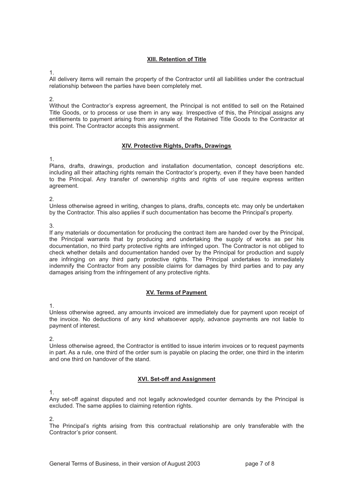## **XIII. Retention of Title**

1.

All delivery items will remain the property of the Contractor until all liabilities under the contractual relationship between the parties have been completely met.

2.

Without the Contractor's express agreement, the Principal is not entitled to sell on the Retained Title Goods, or to process or use them in any way. Irrespective of this, the Principal assigns any entitlements to payment arising from any resale of the Retained Title Goods to the Contractor at this point. The Contractor accepts this assignment.

## **XIV. Protective Rights, Drafts, Drawings**

1.

Plans, drafts, drawings, production and installation documentation, concept descriptions etc. including all their attaching rights remain the Contractor's property, even if they have been handed to the Principal. Any transfer of ownership rights and rights of use require express written agreement.

 $\mathcal{P}$ 

Unless otherwise agreed in writing, changes to plans, drafts, concepts etc. may only be undertaken by the Contractor. This also applies if such documentation has become the Principal's property.

3.

If any materials or documentation for producing the contract item are handed over by the Principal, the Principal warrants that by producing and undertaking the supply of works as per his documentation, no third party protective rights are infringed upon. The Contractor is not obliged to check whether details and documentation handed over by the Principal for production and supply are infringing on any third party protective rights. The Principal undertakes to immediately indemnify the Contractor from any possible claims for damages by third parties and to pay any damages arising from the infringement of any protective rights.

# **XV. Terms of Payment**

1.

Unless otherwise agreed, any amounts invoiced are immediately due for payment upon receipt of the invoice. No deductions of any kind whatsoever apply, advance payments are not liable to payment of interest.

 $\mathcal{P}$ 

Unless otherwise agreed, the Contractor is entitled to issue interim invoices or to request payments in part. As a rule, one third of the order sum is payable on placing the order, one third in the interim and one third on handover of the stand.

# **XVI. Set-off and Assignment**

1.

Any set-off against disputed and not legally acknowledged counter demands by the Principal is excluded. The same applies to claiming retention rights.

2.

The Principal's rights arising from this contractual relationship are only transferable with the Contractor's prior consent.